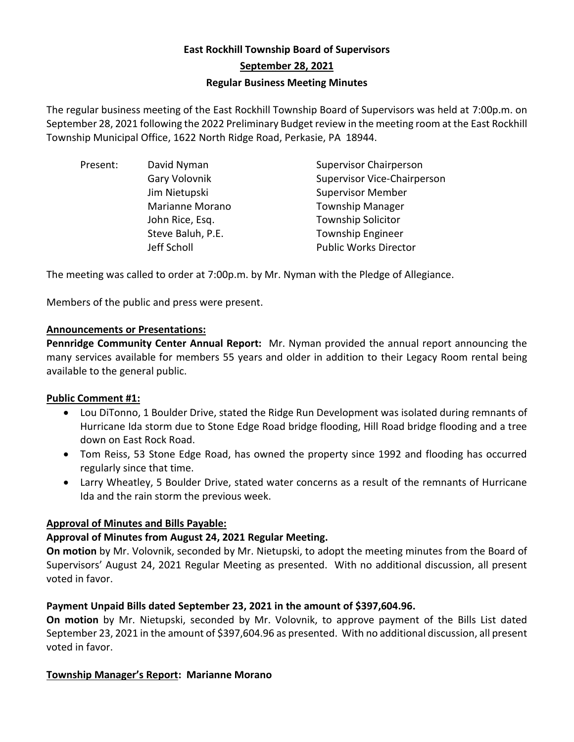# **East Rockhill Township Board of Supervisors September 28, 2021 Regular Business Meeting Minutes**

The regular business meeting of the East Rockhill Township Board of Supervisors was held at 7:00p.m. on September 28, 2021 following the 2022 Preliminary Budget review in the meeting room at the East Rockhill Township Municipal Office, 1622 North Ridge Road, Perkasie, PA 18944.

| Present: | David Nyman       | <b>Supervisor Chairperson</b> |
|----------|-------------------|-------------------------------|
|          | Gary Volovnik     | Supervisor Vice-Chairperson   |
|          | Jim Nietupski     | <b>Supervisor Member</b>      |
|          | Marianne Morano   | <b>Township Manager</b>       |
|          | John Rice, Esq.   | <b>Township Solicitor</b>     |
|          | Steve Baluh, P.E. | <b>Township Engineer</b>      |
|          | Jeff Scholl       | <b>Public Works Director</b>  |
|          |                   |                               |

The meeting was called to order at 7:00p.m. by Mr. Nyman with the Pledge of Allegiance.

Members of the public and press were present.

## **Announcements or Presentations:**

**Pennridge Community Center Annual Report:** Mr. Nyman provided the annual report announcing the many services available for members 55 years and older in addition to their Legacy Room rental being available to the general public.

## **Public Comment #1:**

- Lou DiTonno, 1 Boulder Drive, stated the Ridge Run Development was isolated during remnants of Hurricane Ida storm due to Stone Edge Road bridge flooding, Hill Road bridge flooding and a tree down on East Rock Road.
- Tom Reiss, 53 Stone Edge Road, has owned the property since 1992 and flooding has occurred regularly since that time.
- Larry Wheatley, 5 Boulder Drive, stated water concerns as a result of the remnants of Hurricane Ida and the rain storm the previous week.

## **Approval of Minutes and Bills Payable:**

## **Approval of Minutes from August 24, 2021 Regular Meeting.**

**On motion** by Mr. Volovnik, seconded by Mr. Nietupski, to adopt the meeting minutes from the Board of Supervisors' August 24, 2021 Regular Meeting as presented. With no additional discussion, all present voted in favor.

## **Payment Unpaid Bills dated September 23, 2021 in the amount of \$397,604.96.**

**On motion** by Mr. Nietupski, seconded by Mr. Volovnik, to approve payment of the Bills List dated September 23, 2021 in the amount of \$397,604.96 as presented. With no additional discussion, all present voted in favor.

# **Township Manager's Report: Marianne Morano**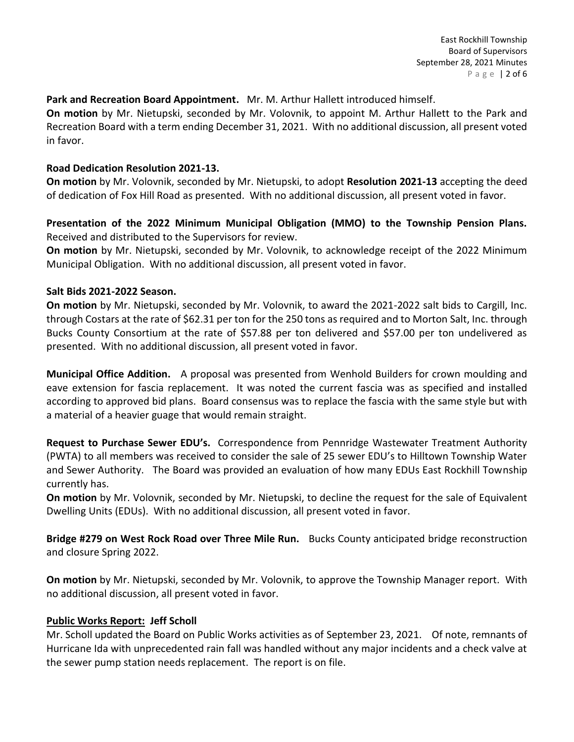## **Park and Recreation Board Appointment.** Mr. M. Arthur Hallett introduced himself.

**On motion** by Mr. Nietupski, seconded by Mr. Volovnik, to appoint M. Arthur Hallett to the Park and Recreation Board with a term ending December 31, 2021. With no additional discussion, all present voted in favor.

## **Road Dedication Resolution 2021-13.**

**On motion** by Mr. Volovnik, seconded by Mr. Nietupski, to adopt **Resolution 2021-13** accepting the deed of dedication of Fox Hill Road as presented. With no additional discussion, all present voted in favor.

## **Presentation of the 2022 Minimum Municipal Obligation (MMO) to the Township Pension Plans.**  Received and distributed to the Supervisors for review.

**On motion** by Mr. Nietupski, seconded by Mr. Volovnik, to acknowledge receipt of the 2022 Minimum Municipal Obligation. With no additional discussion, all present voted in favor.

## **Salt Bids 2021-2022 Season.**

**On motion** by Mr. Nietupski, seconded by Mr. Volovnik, to award the 2021-2022 salt bids to Cargill, Inc. through Costars at the rate of \$62.31 per ton for the 250 tons as required and to Morton Salt, Inc. through Bucks County Consortium at the rate of \$57.88 per ton delivered and \$57.00 per ton undelivered as presented. With no additional discussion, all present voted in favor.

**Municipal Office Addition.** A proposal was presented from Wenhold Builders for crown moulding and eave extension for fascia replacement. It was noted the current fascia was as specified and installed according to approved bid plans. Board consensus was to replace the fascia with the same style but with a material of a heavier guage that would remain straight.

**Request to Purchase Sewer EDU's.** Correspondence from Pennridge Wastewater Treatment Authority (PWTA) to all members was received to consider the sale of 25 sewer EDU's to Hilltown Township Water and Sewer Authority. The Board was provided an evaluation of how many EDUs East Rockhill Township currently has.

**On motion** by Mr. Volovnik, seconded by Mr. Nietupski, to decline the request for the sale of Equivalent Dwelling Units (EDUs). With no additional discussion, all present voted in favor.

**Bridge #279 on West Rock Road over Three Mile Run.** Bucks County anticipated bridge reconstruction and closure Spring 2022.

**On motion** by Mr. Nietupski, seconded by Mr. Volovnik, to approve the Township Manager report. With no additional discussion, all present voted in favor.

## **Public Works Report: Jeff Scholl**

Mr. Scholl updated the Board on Public Works activities as of September 23, 2021. Of note, remnants of Hurricane Ida with unprecedented rain fall was handled without any major incidents and a check valve at the sewer pump station needs replacement. The report is on file.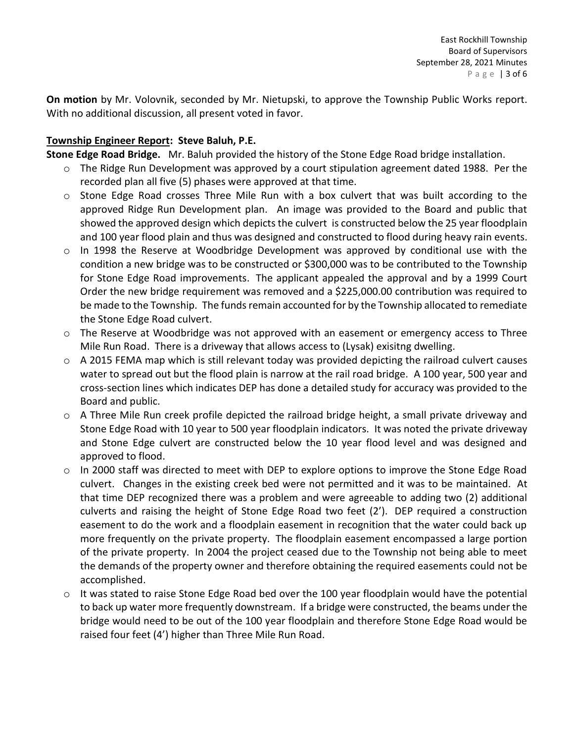**On motion** by Mr. Volovnik, seconded by Mr. Nietupski, to approve the Township Public Works report. With no additional discussion, all present voted in favor.

## **Township Engineer Report: Steve Baluh, P.E.**

**Stone Edge Road Bridge.** Mr. Baluh provided the history of the Stone Edge Road bridge installation.

- $\circ$  The Ridge Run Development was approved by a court stipulation agreement dated 1988. Per the recorded plan all five (5) phases were approved at that time.
- o Stone Edge Road crosses Three Mile Run with a box culvert that was built according to the approved Ridge Run Development plan. An image was provided to the Board and public that showed the approved design which depicts the culvert is constructed below the 25 year floodplain and 100 year flood plain and thus was designed and constructed to flood during heavy rain events.
- $\circ$  In 1998 the Reserve at Woodbridge Development was approved by conditional use with the condition a new bridge was to be constructed or \$300,000 was to be contributed to the Township for Stone Edge Road improvements. The applicant appealed the approval and by a 1999 Court Order the new bridge requirement was removed and a \$225,000.00 contribution was required to be made to the Township. The funds remain accounted for by the Township allocated to remediate the Stone Edge Road culvert.
- $\circ$  The Reserve at Woodbridge was not approved with an easement or emergency access to Three Mile Run Road. There is a driveway that allows access to (Lysak) exisitng dwelling.
- o A 2015 FEMA map which is still relevant today was provided depicting the railroad culvert causes water to spread out but the flood plain is narrow at the rail road bridge. A 100 year, 500 year and cross-section lines which indicates DEP has done a detailed study for accuracy was provided to the Board and public.
- $\circ$  A Three Mile Run creek profile depicted the railroad bridge height, a small private driveway and Stone Edge Road with 10 year to 500 year floodplain indicators. It was noted the private driveway and Stone Edge culvert are constructed below the 10 year flood level and was designed and approved to flood.
- $\circ$  In 2000 staff was directed to meet with DEP to explore options to improve the Stone Edge Road culvert. Changes in the existing creek bed were not permitted and it was to be maintained. At that time DEP recognized there was a problem and were agreeable to adding two (2) additional culverts and raising the height of Stone Edge Road two feet (2'). DEP required a construction easement to do the work and a floodplain easement in recognition that the water could back up more frequently on the private property. The floodplain easement encompassed a large portion of the private property. In 2004 the project ceased due to the Township not being able to meet the demands of the property owner and therefore obtaining the required easements could not be accomplished.
- $\circ$  It was stated to raise Stone Edge Road bed over the 100 year floodplain would have the potential to back up water more frequently downstream. If a bridge were constructed, the beams under the bridge would need to be out of the 100 year floodplain and therefore Stone Edge Road would be raised four feet (4') higher than Three Mile Run Road.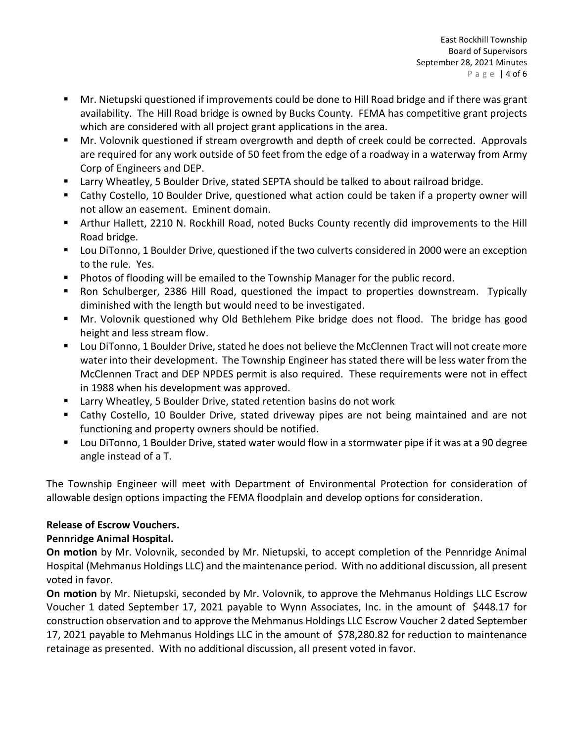- Mr. Nietupski questioned if improvements could be done to Hill Road bridge and if there was grant availability. The Hill Road bridge is owned by Bucks County. FEMA has competitive grant projects which are considered with all project grant applications in the area.
- Mr. Volovnik questioned if stream overgrowth and depth of creek could be corrected. Approvals are required for any work outside of 50 feet from the edge of a roadway in a waterway from Army Corp of Engineers and DEP.
- Larry Wheatley, 5 Boulder Drive, stated SEPTA should be talked to about railroad bridge.
- Cathy Costello, 10 Boulder Drive, questioned what action could be taken if a property owner will not allow an easement. Eminent domain.
- Arthur Hallett, 2210 N. Rockhill Road, noted Bucks County recently did improvements to the Hill Road bridge.
- Lou DiTonno, 1 Boulder Drive, questioned if the two culverts considered in 2000 were an exception to the rule. Yes.
- Photos of flooding will be emailed to the Township Manager for the public record.
- Ron Schulberger, 2386 Hill Road, questioned the impact to properties downstream. Typically diminished with the length but would need to be investigated.
- Mr. Volovnik questioned why Old Bethlehem Pike bridge does not flood. The bridge has good height and less stream flow.
- Lou DiTonno, 1 Boulder Drive, stated he does not believe the McClennen Tract will not create more water into their development. The Township Engineer has stated there will be less water from the McClennen Tract and DEP NPDES permit is also required. These requirements were not in effect in 1988 when his development was approved.
- Larry Wheatley, 5 Boulder Drive, stated retention basins do not work
- Cathy Costello, 10 Boulder Drive, stated driveway pipes are not being maintained and are not functioning and property owners should be notified.
- Lou DiTonno, 1 Boulder Drive, stated water would flow in a stormwater pipe if it was at a 90 degree angle instead of a T.

The Township Engineer will meet with Department of Environmental Protection for consideration of allowable design options impacting the FEMA floodplain and develop options for consideration.

# **Release of Escrow Vouchers.**

# **Pennridge Animal Hospital.**

**On motion** by Mr. Volovnik, seconded by Mr. Nietupski, to accept completion of the Pennridge Animal Hospital (Mehmanus Holdings LLC) and the maintenance period. With no additional discussion, all present voted in favor.

**On motion** by Mr. Nietupski, seconded by Mr. Volovnik, to approve the Mehmanus Holdings LLC Escrow Voucher 1 dated September 17, 2021 payable to Wynn Associates, Inc. in the amount of \$448.17 for construction observation and to approve the Mehmanus Holdings LLC Escrow Voucher 2 dated September 17, 2021 payable to Mehmanus Holdings LLC in the amount of \$78,280.82 for reduction to maintenance retainage as presented. With no additional discussion, all present voted in favor.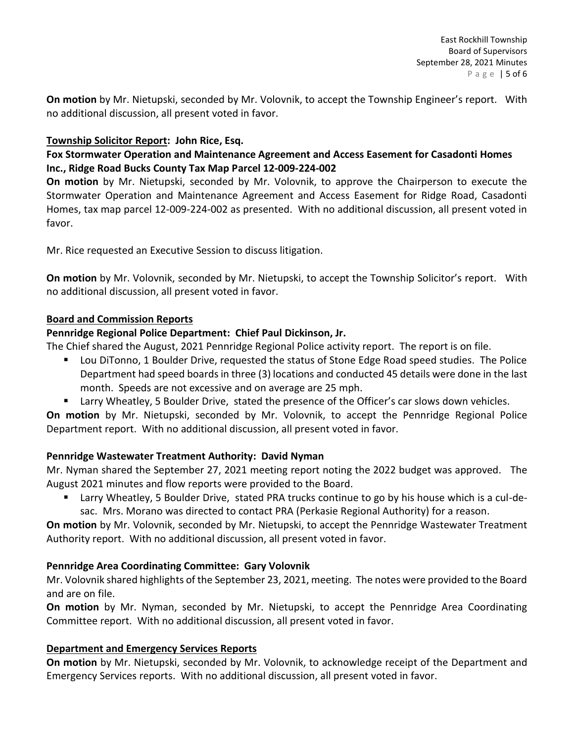**On motion** by Mr. Nietupski, seconded by Mr. Volovnik, to accept the Township Engineer's report. With no additional discussion, all present voted in favor.

# **Township Solicitor Report: John Rice, Esq.**

# **Fox Stormwater Operation and Maintenance Agreement and Access Easement for Casadonti Homes Inc., Ridge Road Bucks County Tax Map Parcel 12-009-224-002**

**On motion** by Mr. Nietupski, seconded by Mr. Volovnik, to approve the Chairperson to execute the Stormwater Operation and Maintenance Agreement and Access Easement for Ridge Road, Casadonti Homes, tax map parcel 12-009-224-002 as presented. With no additional discussion, all present voted in favor.

Mr. Rice requested an Executive Session to discuss litigation.

**On motion** by Mr. Volovnik, seconded by Mr. Nietupski, to accept the Township Solicitor's report. With no additional discussion, all present voted in favor.

# **Board and Commission Reports**

# **Pennridge Regional Police Department: Chief Paul Dickinson, Jr.**

The Chief shared the August, 2021 Pennridge Regional Police activity report. The report is on file.

- Lou DiTonno, 1 Boulder Drive, requested the status of Stone Edge Road speed studies. The Police Department had speed boards in three (3) locations and conducted 45 details were done in the last month. Speeds are not excessive and on average are 25 mph.
- Larry Wheatley, 5 Boulder Drive, stated the presence of the Officer's car slows down vehicles.

**On motion** by Mr. Nietupski, seconded by Mr. Volovnik, to accept the Pennridge Regional Police Department report. With no additional discussion, all present voted in favor.

# **Pennridge Wastewater Treatment Authority: David Nyman**

Mr. Nyman shared the September 27, 2021 meeting report noting the 2022 budget was approved. The August 2021 minutes and flow reports were provided to the Board.

■ Larry Wheatley, 5 Boulder Drive, stated PRA trucks continue to go by his house which is a cul-desac. Mrs. Morano was directed to contact PRA (Perkasie Regional Authority) for a reason.

**On motion** by Mr. Volovnik, seconded by Mr. Nietupski, to accept the Pennridge Wastewater Treatment Authority report. With no additional discussion, all present voted in favor.

# **Pennridge Area Coordinating Committee: Gary Volovnik**

Mr. Volovnik shared highlights of the September 23, 2021, meeting. The notes were provided to the Board and are on file.

**On motion** by Mr. Nyman, seconded by Mr. Nietupski, to accept the Pennridge Area Coordinating Committee report. With no additional discussion, all present voted in favor.

# **Department and Emergency Services Reports**

**On motion** by Mr. Nietupski, seconded by Mr. Volovnik, to acknowledge receipt of the Department and Emergency Services reports. With no additional discussion, all present voted in favor.